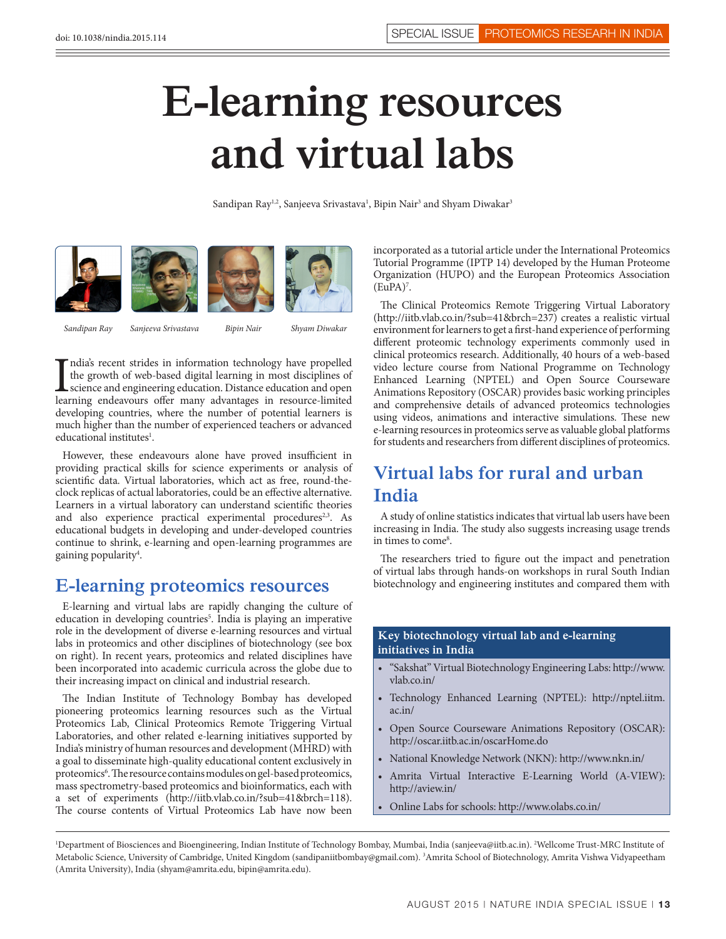# **E-learning resources and virtual labs**

Sandipan Ray<sup>1,2</sup>, Sanjeeva Srivastava<sup>1</sup>, Bipin Nair<sup>3</sup> and Shyam Diwakar<sup>3</sup>



*Sandipan Ray Sanjeeva Srivastava Bipin Nair Shyam Diwakar*

India's recent strides in information technology have propelled the growth of web-based digital learning in most disciplines of science and engineering education. Distance education and open learning endeavours offer many ndia's recent strides in information technology have propelled the growth of web-based digital learning in most disciplines of science and engineering education. Distance education and open developing countries, where the number of potential learners is much higher than the number of experienced teachers or advanced educational institutes<sup>1</sup>.

However, these endeavours alone have proved insufficient in providing practical skills for science experiments or analysis of scientific data. Virtual laboratories, which act as free, round-theclock replicas of actual laboratories, could be an effective alternative. Learners in a virtual laboratory can understand scientific theories and also experience practical experimental procedures<sup>2,3</sup>. As educational budgets in developing and under-developed countries continue to shrink, e-learning and open-learning programmes are gaining popularity<sup>4</sup>.

## **E-learning proteomics resources**

E-learning and virtual labs are rapidly changing the culture of education in developing countries<sup>5</sup>. India is playing an imperative role in the development of diverse e-learning resources and virtual labs in proteomics and other disciplines of biotechnology (see box on right). In recent years, proteomics and related disciplines have been incorporated into academic curricula across the globe due to their increasing impact on clinical and industrial research.

The Indian Institute of Technology Bombay has developed pioneering proteomics learning resources such as the Virtual Proteomics Lab, Clinical Proteomics Remote Triggering Virtual Laboratories, and other related e-learning initiatives supported by India's ministry of human resources and development (MHRD) with a goal to disseminate high-quality educational content exclusively in proteomics<sup>6</sup>. The resource contains modules on gel-based proteomics, mass spectrometry-based proteomics and bioinformatics, each with a set of experiments (http://iitb.vlab.co.in/?sub=41&brch=118). The course contents of Virtual Proteomics Lab have now been

incorporated as a tutorial article under the International Proteomics Tutorial Programme (IPTP 14) developed by the Human Proteome Organization (HUPO) and the European Proteomics Association (EuPA)7 .

The Clinical Proteomics Remote Triggering Virtual Laboratory (http://iitb.vlab.co.in/?sub=41&brch=237) creates a realistic virtual environment for learners to get a first-hand experience of performing different proteomic technology experiments commonly used in clinical proteomics research. Additionally, 40 hours of a web-based video lecture course from National Programme on Technology Enhanced Learning (NPTEL) and Open Source Courseware Animations Repository (OSCAR) provides basic working principles and comprehensive details of advanced proteomics technologies using videos, animations and interactive simulations. These new e-learning resources in proteomics serve as valuable global platforms for students and researchers from different disciplines of proteomics.

# **Virtual labs for rural and urban India**

A study of online statistics indicates that virtual lab users have been increasing in India. The study also suggests increasing usage trends in times to come<sup>8</sup>.

The researchers tried to figure out the impact and penetration of virtual labs through hands-on workshops in rural South Indian biotechnology and engineering institutes and compared them with

#### **Key biotechnology virtual lab and e-learning initiatives in India**

- • "Sakshat" Virtual Biotechnology Engineering Labs: http://www. vlab.co.in/
- • Technology Enhanced Learning (NPTEL): http://nptel.iitm. ac.in/
- Open Source Courseware Animations Repository (OSCAR): http://oscar.iitb.ac.in/oscarHome.do
- • National Knowledge Network (NKN): http://www.nkn.in/
- Amrita Virtual Interactive E-Learning World (A-VIEW): http://aview.in/
- Online Labs for schools: http://www.olabs.co.in/

<sup>&</sup>lt;sup>1</sup>Department of Biosciences and Bioengineering, Indian Institute of Technology Bombay, Mumbai, India (sanjeeva@iitb.ac.in). <sup>2</sup>Wellcome Trust-MRC Institute of Metabolic Science, University of Cambridge, United Kingdom (sandipaniitbombay@gmail.com). 3 Amrita School of Biotechnology, Amrita Vishwa Vidyapeetham (Amrita University), India (shyam@amrita.edu, bipin@amrita.edu).